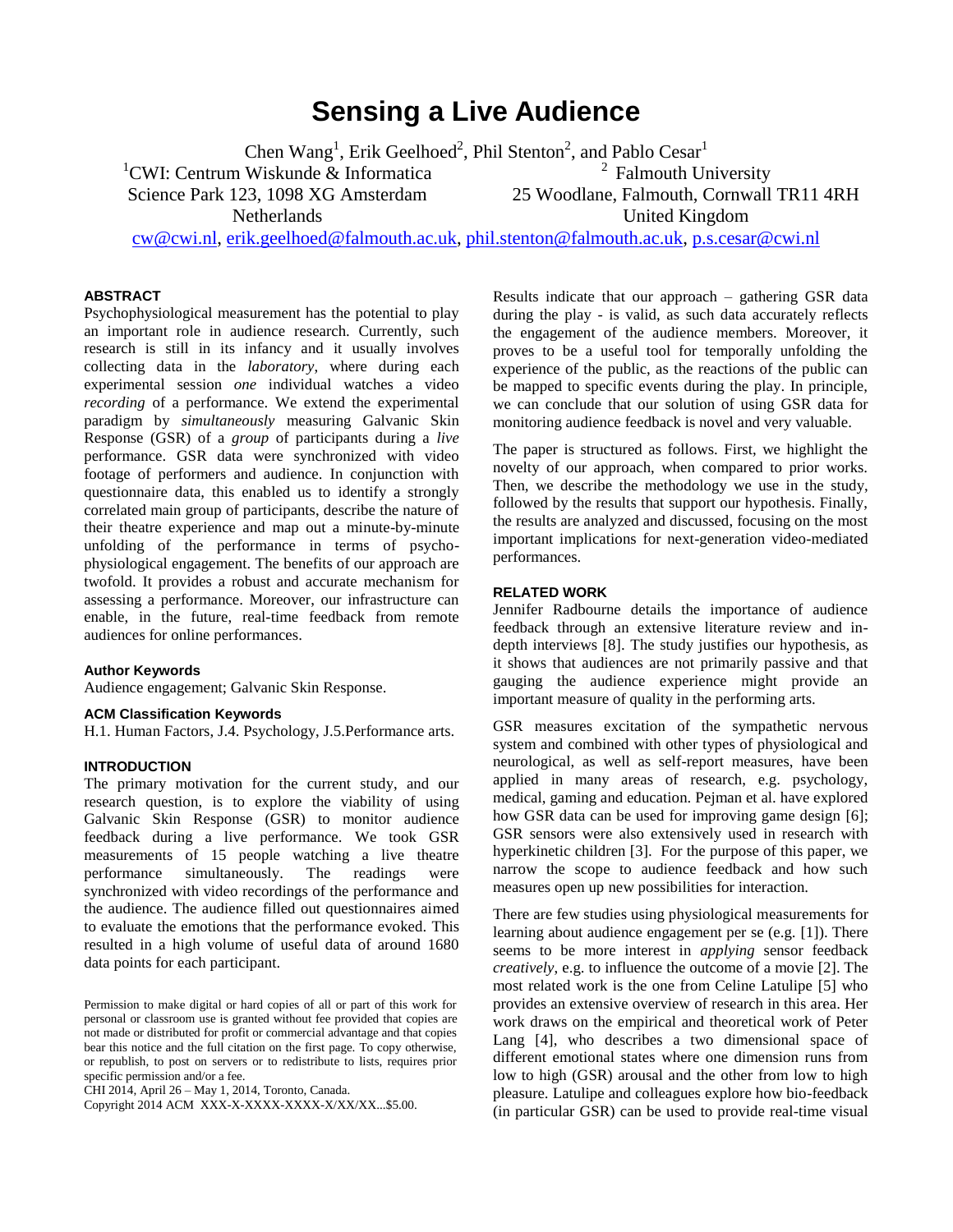# **Sensing a Live Audience**

Chen Wang<sup>1</sup>, Erik Geelhoed<sup>2</sup>, Phil Stenton<sup>2</sup>, and Pablo Cesar<sup>1</sup>

<sup>1</sup>CWI: Centrum Wiskunde & Informatica Science Park 123, 1098 XG Amsterdam

<sup>2</sup> Falmouth University 25 Woodlane, Falmouth, Cornwall TR11 4RH

Netherlands

United Kingdom

[cw@cwi.nl,](mailto:cw@cwi.nl) [erik.geelhoed@falmouth.ac.uk,](mailto:erik.geelhoed@falmouth.ac.uk) [phil.stenton@falmouth.ac.uk,](mailto:phil.stenton@falmouth.ac.uk) [p.s.cesar@cwi.nl](mailto:p.s.cesar@cwi.nl)

#### **ABSTRACT**

Psychophysiological measurement has the potential to play an important role in audience research. Currently, such research is still in its infancy and it usually involves collecting data in the *laboratory*, where during each experimental session *one* individual watches a video *recording* of a performance. We extend the experimental paradigm by *simultaneously* measuring Galvanic Skin Response (GSR) of a *group* of participants during a *live* performance. GSR data were synchronized with video footage of performers and audience. In conjunction with questionnaire data, this enabled us to identify a strongly correlated main group of participants, describe the nature of their theatre experience and map out a minute-by-minute unfolding of the performance in terms of psychophysiological engagement. The benefits of our approach are twofold. It provides a robust and accurate mechanism for assessing a performance. Moreover, our infrastructure can enable, in the future, real-time feedback from remote audiences for online performances.

## **Author Keywords**

Audience engagement; Galvanic Skin Response.

#### **ACM Classification Keywords**

H.1. Human Factors, J.4. Psychology, J.5.Performance arts.

## **INTRODUCTION**

The primary motivation for the current study, and our research question, is to explore the viability of using Galvanic Skin Response (GSR) to monitor audience feedback during a live performance. We took GSR measurements of 15 people watching a live theatre performance simultaneously. The readings were synchronized with video recordings of the performance and the audience. The audience filled out questionnaires aimed to evaluate the emotions that the performance evoked. This resulted in a high volume of useful data of around 1680 data points for each participant.

CHI 2014, April 26 – May 1, 2014, Toronto, Canada.

Copyright 2014 ACM XXX-X-XXXX-XXXX-X/XX/XX...\$5.00.

Results indicate that our approach – gathering GSR data during the play - is valid, as such data accurately reflects the engagement of the audience members. Moreover, it proves to be a useful tool for temporally unfolding the experience of the public, as the reactions of the public can be mapped to specific events during the play. In principle, we can conclude that our solution of using GSR data for monitoring audience feedback is novel and very valuable.

The paper is structured as follows. First, we highlight the novelty of our approach, when compared to prior works. Then, we describe the methodology we use in the study, followed by the results that support our hypothesis. Finally, the results are analyzed and discussed, focusing on the most important implications for next-generation video-mediated performances.

## **RELATED WORK**

Jennifer Radbourne details the importance of audience feedback through an extensive literature review and indepth interviews [\[8\].](#page-3-0) The study justifies our hypothesis, as it shows that audiences are not primarily passive and that gauging the audience experience might provide an important measure of quality in the performing arts.

GSR measures excitation of the sympathetic nervous system and combined with other types of physiological and neurological, as well as self-report measures, have been applied in many areas of research, e.g. psychology, medical, gaming and education. Pejman et al. have explored how GSR data can be used for improving game design [\[6\];](#page-3-1) GSR sensors were also extensively used in research with hyperkinetic children [\[3\].](#page-3-2) For the purpose of this paper, we narrow the scope to audience feedback and how such measures open up new possibilities for interaction.

There are few studies using physiological measurements for learning about audience engagement per se (e.g. [\[1\]\)](#page-3-3). There seems to be more interest in *applying* sensor feedback *creatively*, e.g. to influence the outcome of a movie [\[2\].](#page-3-4) The most related work is the one from Celine Latulipe [\[5\]](#page-3-5) who provides an extensive overview of research in this area. Her work draws on the empirical and theoretical work of Peter Lang [\[4\],](#page-3-6) who describes a two dimensional space of different emotional states where one dimension runs from low to high (GSR) arousal and the other from low to high pleasure. Latulipe and colleagues explore how bio-feedback (in particular GSR) can be used to provide real-time visual

Permission to make digital or hard copies of all or part of this work for personal or classroom use is granted without fee provided that copies are not made or distributed for profit or commercial advantage and that copies bear this notice and the full citation on the first page. To copy otherwise, or republish, to post on servers or to redistribute to lists, requires prior specific permission and/or a fee.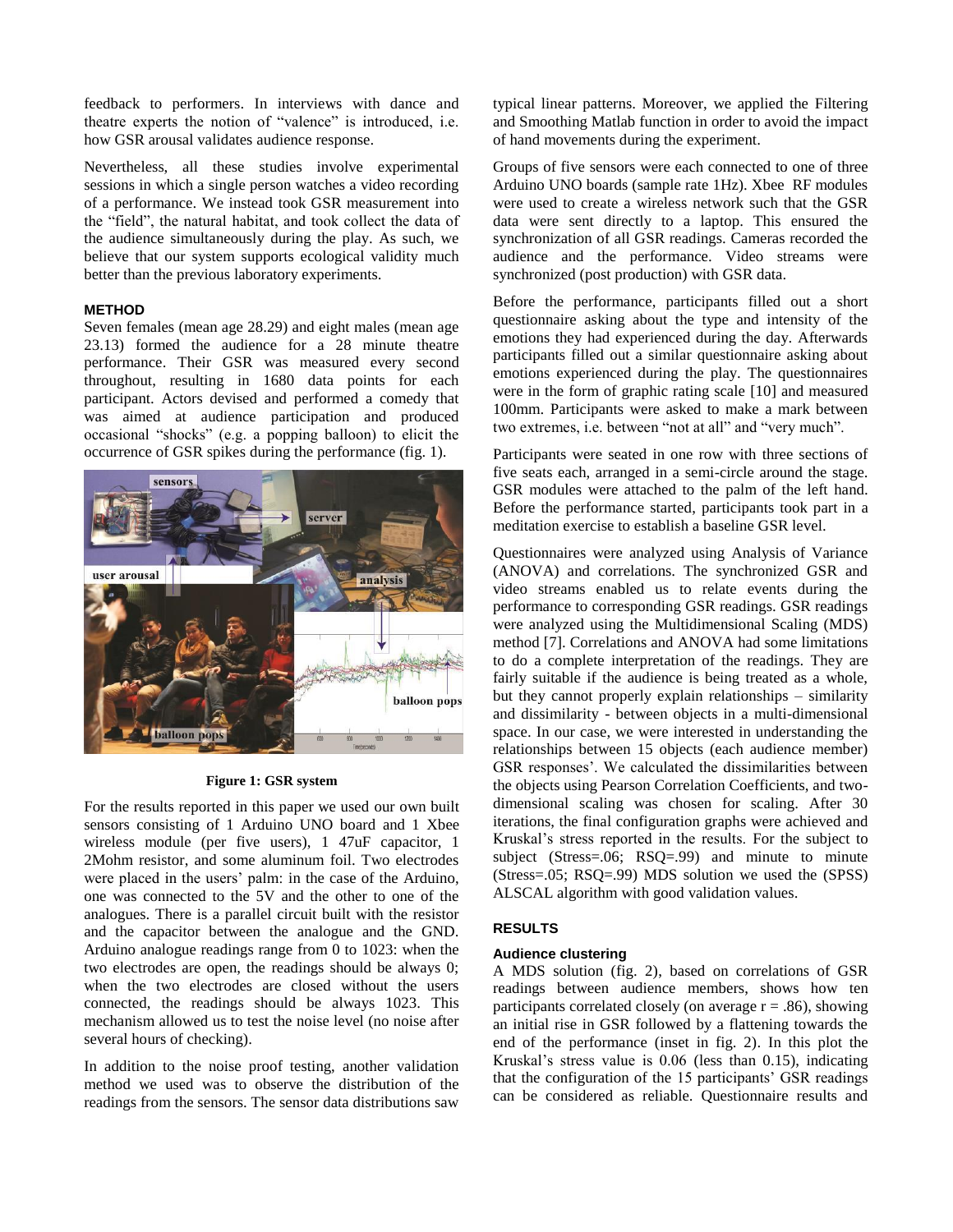feedback to performers. In interviews with dance and theatre experts the notion of "valence" is introduced, i.e. how GSR arousal validates audience response.

Nevertheless, all these studies involve experimental sessions in which a single person watches a video recording of a performance. We instead took GSR measurement into the "field", the natural habitat, and took collect the data of the audience simultaneously during the play. As such, we believe that our system supports ecological validity much better than the previous laboratory experiments.

## **METHOD**

Seven females (mean age 28.29) and eight males (mean age 23.13) formed the audience for a 28 minute theatre performance. Their GSR was measured every second throughout, resulting in 1680 data points for each participant. Actors devised and performed a comedy that was aimed at audience participation and produced occasional "shocks" (e.g. a popping balloon) to elicit the occurrence of GSR spikes during the performance (fig. 1).



**Figure 1: GSR system**

For the results reported in this paper we used our own built sensors consisting of 1 Arduino UNO board and 1 Xbee wireless module (per five users), 1 47uF capacitor, 1 2Mohm resistor, and some aluminum foil. Two electrodes were placed in the users' palm: in the case of the Arduino, one was connected to the 5V and the other to one of the analogues. There is a parallel circuit built with the resistor and the capacitor between the analogue and the GND. Arduino analogue readings range from 0 to 1023: when the two electrodes are open, the readings should be always 0; when the two electrodes are closed without the users connected, the readings should be always 1023. This mechanism allowed us to test the noise level (no noise after several hours of checking).

In addition to the noise proof testing, another validation method we used was to observe the distribution of the readings from the sensors. The sensor data distributions saw

typical linear patterns. Moreover, we applied the Filtering and Smoothing Matlab function in order to avoid the impact of hand movements during the experiment.

Groups of five sensors were each connected to one of three Arduino UNO boards (sample rate 1Hz). Xbee RF modules were used to create a wireless network such that the GSR data were sent directly to a laptop. This ensured the synchronization of all GSR readings. Cameras recorded the audience and the performance. Video streams were synchronized (post production) with GSR data.

Before the performance, participants filled out a short questionnaire asking about the type and intensity of the emotions they had experienced during the day. Afterwards participants filled out a similar questionnaire asking about emotions experienced during the play. The questionnaires were in the form of graphic rating scale [\[10\]](#page-3-7) and measured 100mm. Participants were asked to make a mark between two extremes, i.e. between "not at all" and "very much".

Participants were seated in one row with three sections of five seats each, arranged in a semi-circle around the stage. GSR modules were attached to the palm of the left hand. Before the performance started, participants took part in a meditation exercise to establish a baseline GSR level.

Questionnaires were analyzed using Analysis of Variance (ANOVA) and correlations. The synchronized GSR and video streams enabled us to relate events during the performance to corresponding GSR readings. GSR readings were analyzed using the Multidimensional Scaling (MDS) method [\[7\].](#page-3-8) Correlations and ANOVA had some limitations to do a complete interpretation of the readings. They are fairly suitable if the audience is being treated as a whole, but they cannot properly explain relationships – similarity and dissimilarity - between objects in a multi-dimensional space. In our case, we were interested in understanding the relationships between 15 objects (each audience member) GSR responses'. We calculated the dissimilarities between the objects using Pearson Correlation Coefficients, and twodimensional scaling was chosen for scaling. After 30 iterations, the final configuration graphs were achieved and Kruskal's stress reported in the results. For the subject to subject (Stress=.06; RSQ=.99) and minute to minute (Stress=.05; RSQ=.99) MDS solution we used the (SPSS) ALSCAL algorithm with good validation values.

## **RESULTS**

## **Audience clustering**

A MDS solution (fig. 2), based on correlations of GSR readings between audience members, shows how ten participants correlated closely (on average  $r = .86$ ), showing an initial rise in GSR followed by a flattening towards the end of the performance (inset in fig. 2). In this plot the Kruskal's stress value is 0.06 (less than 0.15), indicating that the configuration of the 15 participants' GSR readings can be considered as reliable. Questionnaire results and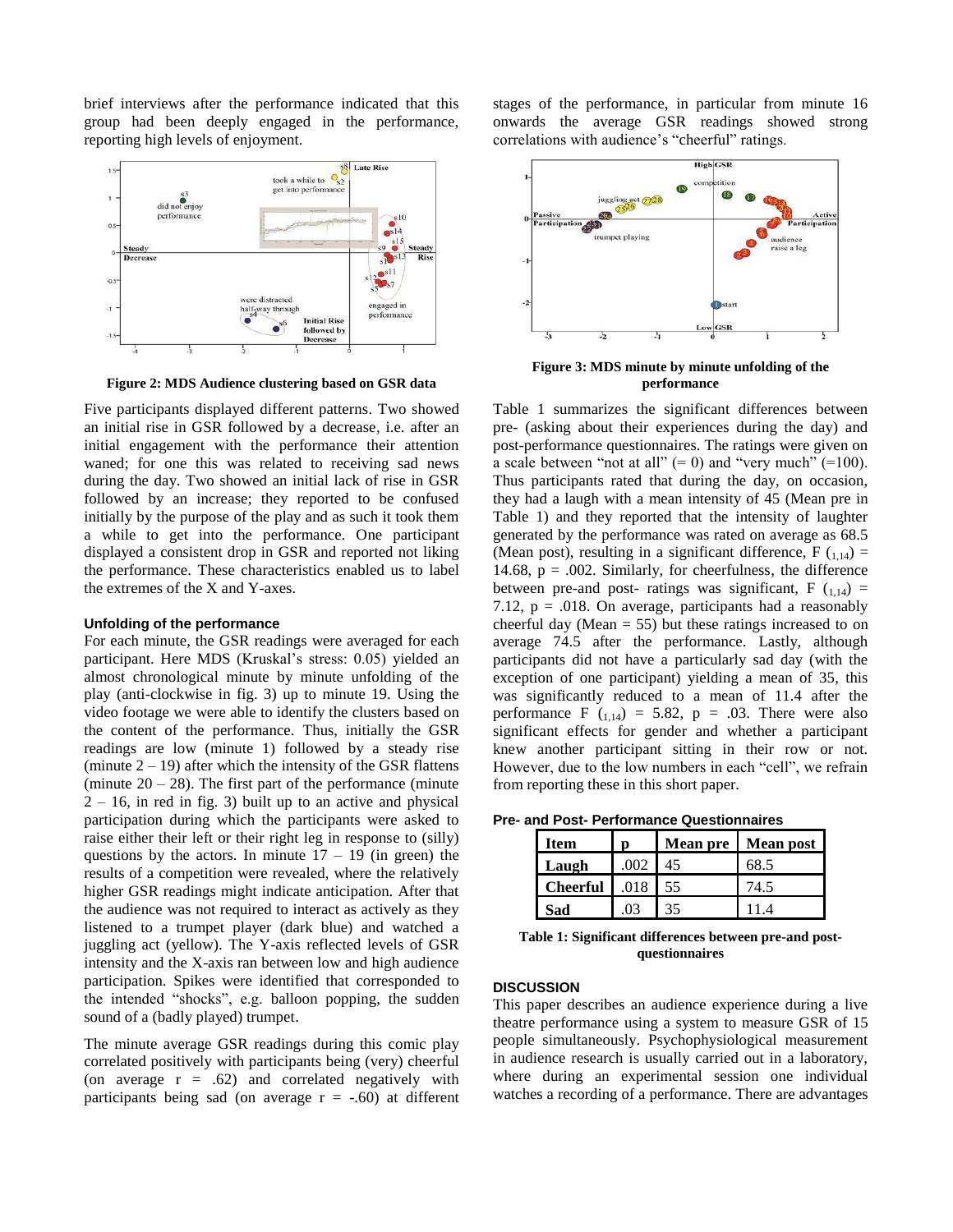brief interviews after the performance indicated that this group had been deeply engaged in the performance, reporting high levels of enjoyment.



**Figure 2: MDS Audience clustering based on GSR data**

Five participants displayed different patterns. Two showed an initial rise in GSR followed by a decrease, i.e. after an initial engagement with the performance their attention waned; for one this was related to receiving sad news during the day. Two showed an initial lack of rise in GSR followed by an increase; they reported to be confused initially by the purpose of the play and as such it took them a while to get into the performance. One participant displayed a consistent drop in GSR and reported not liking the performance. These characteristics enabled us to label the extremes of the X and Y-axes.

#### **Unfolding of the performance**

For each minute, the GSR readings were averaged for each participant. Here MDS (Kruskal's stress: 0.05) yielded an almost chronological minute by minute unfolding of the play (anti-clockwise in fig. 3) up to minute 19. Using the video footage we were able to identify the clusters based on the content of the performance. Thus, initially the GSR readings are low (minute 1) followed by a steady rise (minute  $2 - 19$ ) after which the intensity of the GSR flattens (minute  $20 - 28$ ). The first part of the performance (minute  $2 - 16$ , in red in fig. 3) built up to an active and physical participation during which the participants were asked to raise either their left or their right leg in response to (silly) questions by the actors. In minute  $17 - 19$  (in green) the results of a competition were revealed, where the relatively higher GSR readings might indicate anticipation. After that the audience was not required to interact as actively as they listened to a trumpet player (dark blue) and watched a juggling act (yellow). The Y-axis reflected levels of GSR intensity and the X-axis ran between low and high audience participation. Spikes were identified that corresponded to the intended "shocks", e.g. balloon popping, the sudden sound of a (badly played) trumpet.

The minute average GSR readings during this comic play correlated positively with participants being (very) cheerful (on average  $r = .62$ ) and correlated negatively with participants being sad (on average  $r = -.60$ ) at different stages of the performance, in particular from minute 16 onwards the average GSR readings showed strong correlations with audience's "cheerful" ratings.



**Figure 3: MDS minute by minute unfolding of the performance**

Table 1 summarizes the significant differences between pre- (asking about their experiences during the day) and post-performance questionnaires. The ratings were given on a scale between "not at all"  $(= 0)$  and "very much"  $(=100)$ . Thus participants rated that during the day, on occasion, they had a laugh with a mean intensity of 45 (Mean pre in Table 1) and they reported that the intensity of laughter generated by the performance was rated on average as 68.5 (Mean post), resulting in a significant difference,  $F(1,14) =$ 14.68,  $p = .002$ . Similarly, for cheerfulness, the difference between pre-and post- ratings was significant,  $F(t_{1,14}) =$ 7.12,  $p = .018$ . On average, participants had a reasonably cheerful day (Mean  $= 55$ ) but these ratings increased to on average 74.5 after the performance. Lastly, although participants did not have a particularly sad day (with the exception of one participant) yielding a mean of 35, this was significantly reduced to a mean of 11.4 after the performance F  $(1,14) = 5.82$ , p = .03. There were also significant effects for gender and whether a participant knew another participant sitting in their row or not. However, due to the low numbers in each "cell", we refrain from reporting these in this short paper.

**Pre- and Post- Performance Questionnaires**

| ltem            | n    | <b>Mean</b> pre | Mean post |
|-----------------|------|-----------------|-----------|
| Laugh           | .002 | 45              | 68.5      |
| <b>Cheerful</b> | .018 | 55              | 74.5      |
| Sad             | 03   | 35              |           |

**Table 1: Significant differences between pre-and postquestionnaires**

## **DISCUSSION**

This paper describes an audience experience during a live theatre performance using a system to measure GSR of 15 people simultaneously. Psychophysiological measurement in audience research is usually carried out in a laboratory, where during an experimental session one individual watches a recording of a performance. There are advantages